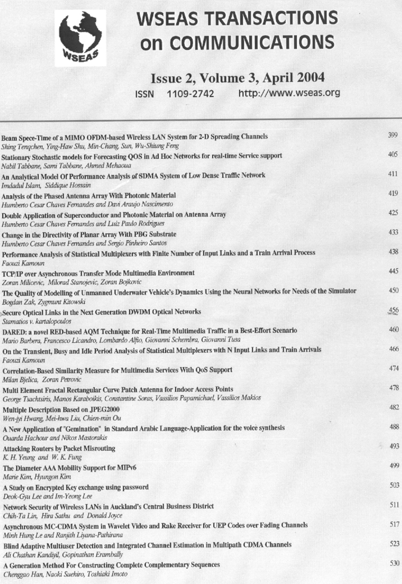

# **WSEAS TRANSACTIONS on COMMUNICATIONS**

# Issue 2, Volume 3, April 2004

ISSN 1109-2742 http://www.wseas.org

| Beam Spece-Time of a MIMO OFDM-based Wireless LAN System for 2-D Spreading Channels<br>Shing Tengchen, Ying-Haw Shu, Min-Chang, Sun, Wu-Shiung Feng                                      | 399 |
|------------------------------------------------------------------------------------------------------------------------------------------------------------------------------------------|-----|
| Stationary Stochastic models for Forecasting QOS in Ad Hoc Networks for real-time Service support<br>Nabil Tabbane, Sami Tabbane, Ahmed Mehaoua                                          | 405 |
| An Analytical Model Of Performance Analysis of SDMA System of Low Dense Traffic Network<br>Imdadul Islam, Siddique Hossain                                                               | 411 |
| Analysis of the Phased Antenna Array With Photonic Material<br>Humberto Cesar Chaves Fernandes and Davi Araujo Nascimento                                                                | 419 |
| Double Application of Superconductor and Photonic Material on Antenna Array<br>Humberto Cesar Chaves Fernandes and Luiz Paulo Rodrigues                                                  | 425 |
| Change in the Directivity of Planar Array With PBG Substrate<br>Humberto Cesar Chaves Fernandes and Sergio Pinheiro Santos                                                               | 433 |
| Performance Analysis of Statistical Multiplexers with Finite Number of Input Links and a Train Arrival Process<br>Faouzi Kamoun                                                          | 438 |
| TCP/IP over Asynchronous Transfer Mode Multimedia Environment<br>Zoran Milicevic, Milorad Stanojevic, Zoran Bojkovic                                                                     | 445 |
| The Quality of Modelling of Unmanned Underwater Vehicle's Dynamics Using the Neural Networks for Needs of the Simulator<br>Bogdan Zak, Zygmunt Kitowski                                  | 450 |
| Secure Optical Links in the Next Generation DWDM Optical Networks<br>Stamatios v. kartalopoulos                                                                                          | 456 |
| DARED: a novel RED-based AQM Technique for Real-Time Multimedia Traffic in a Best-Effort Scenario<br>Mario Barbera, Francesco Licandro, Lombardo Alfio, Giovanni Schembra, Giovanni Tusa | 460 |
| On the Transient, Busy and Idle Period Analysis of Statistical Multiplexers with N Input Links and Train Arrivals<br>Faouzi Kamoun                                                       | 466 |
| Correlation-Based Similarity Measure for Multimedia Services With QoS Support<br>Milan Bjelica, Zoran Petrovic                                                                           | 474 |
| Multi Element Fractal Rectangular Curve Patch Antenna for Indoor Access Points<br>George Tsachtsiris, Manos Karaboikis, Constantine Soras, Vassilios Papamichael, Vassilios Makios       | 478 |
| Multiple Description Based on JPEG2000<br>Wen-jyi Hwang, Mei-hwa Liu, Chien-min Ou                                                                                                       | 482 |
| A New Application of "Gemination" in Standard Arabic Language-Application for the voice synthesis<br>Ouarda Hachour and Nikos Mastorakis                                                 | 488 |
| <b>Attacking Routers by Packet Misrouting</b><br>K. H. Yeung and W. K. Fung                                                                                                              | 493 |
| The Diameter AAA Mobility Support for MIPv6<br>Marie Kim, Hyungon Kim                                                                                                                    | 499 |
| A Study on Encrypted Key exchange using password<br>Deok-Gyu Lee and Im-Yeong Lee                                                                                                        | 503 |
| Network Security of Wireless LANs in Auckland's Central Business District<br>Chih-Ta Lin, Hira Sathu and Donald Joyce                                                                    | 511 |
| Asynchronous MC-CDMA System in Wavelet Video and Rake Receiver for UEP Codes over Fading Channels<br>Minh Hung Le and Ranjith Liyana-Pathirana                                           | 517 |
| Blind Adaptive Multiuser Detection and Integrated Channel Estimation in Multipath CDMA Channels<br>Ali Chathan Kandiyil, Gopinathan Erambally                                            | 523 |
| A Generation Method For Constructing Complete Complementary Sequences<br>Chenggao Han Naoki Suehiro Toshigki Imoto                                                                       | 530 |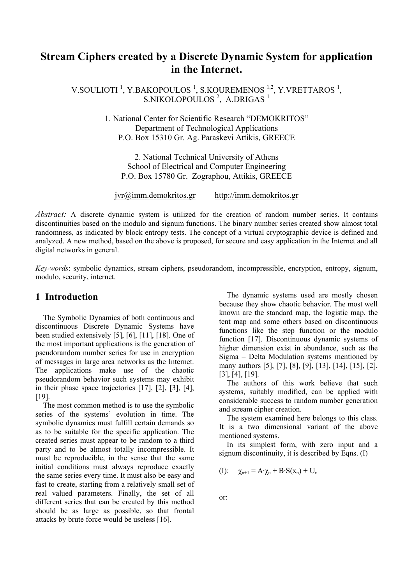# **Stream Ciphers created by a Discrete Dynamic System for application in the Internet.**

V.SOULIOTI<sup>1</sup>, Y.BAKOPOULOS<sup>1</sup>, S.KOUREMENOS<sup>1,2</sup>, Y.VRETTAROS<sup>1</sup>, S.NIKOLOPOULOS<sup>2</sup>, A.DRIGAS<sup>1</sup>

> 1. National Center for Scientific Research "DEMOKRITOS" Department of Technological Applications P.O. Box 15310 Gr. Ag. Paraskevi Attikis, GREECE

2. National Technical University of Athens School of Electrical and Computer Engineering P.O. Box 15780 Gr. Zographou, Attikis, GREECE

jvr@imm.demokritos.gr http://imm.demokritos.gr

*Abstract:* A discrete dynamic system is utilized for the creation of random number series. It contains discontinuities based on the modulo and signum functions. The binary number series created show almost total randomness, as indicated by block entropy tests. The concept of a virtual cryptographic device is defined and analyzed. A new method, based on the above is proposed, for secure and easy application in the Internet and all digital networks in general.

*Key-words*: symbolic dynamics, stream ciphers, pseudorandom, incompressible, encryption, entropy, signum, modulo, security, internet.

## **1 Introduction**

 The Symbolic Dynamics of both continuous and discontinuous Discrete Dynamic Systems have been studied extensively [5], [6], [11], [18]. One of the most important applications is the generation of pseudorandom number series for use in encryption of messages in large area networks as the Internet. The applications make use of the chaotic pseudorandom behavior such systems may exhibit in their phase space trajectories [17], [2], [3], [4], [19].

 The most common method is to use the symbolic series of the systems' evolution in time. The symbolic dynamics must fulfill certain demands so as to be suitable for the specific application. The created series must appear to be random to a third party and to be almost totally incompressible. It must be reproducible, in the sense that the same initial conditions must always reproduce exactly the same series every time. It must also be easy and fast to create, starting from a relatively small set of real valued parameters. Finally, the set of all different series that can be created by this method should be as large as possible, so that frontal attacks by brute force would be useless [16].

 The dynamic systems used are mostly chosen because they show chaotic behavior. The most well known are the standard map, the logistic map, the tent map and some others based on discontinuous functions like the step function or the modulo function [17]. Discontinuous dynamic systems of higher dimension exist in abundance, such as the Sigma – Delta Modulation systems mentioned by many authors [5], [7], [8], [9], [13], [14], [15], [2], [3], [4], [19].

 The authors of this work believe that such systems, suitably modified, can be applied with considerable success to random number generation and stream cipher creation.

 The system examined here belongs to this class. It is a two dimensional variant of the above mentioned systems.

 In its simplest form, with zero input and a signum discontinuity, it is described by Eqns.  $(I)$ 

(I): 
$$
\chi_{n+1} = A \cdot \chi_n + B \cdot S(x_n) + U_n
$$

or: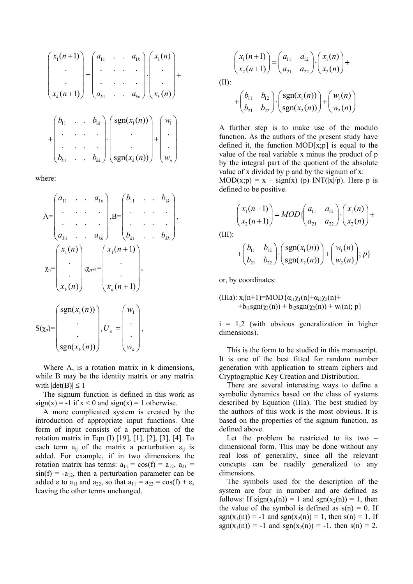$$
\begin{pmatrix} x_1(n+1) \\ \cdot \\ \cdot \\ x_k(n+1) \end{pmatrix} = \begin{pmatrix} a_{11} & \cdot & a_{1k} \\ \cdot & \cdot & \cdot \\ \cdot & \cdot & \cdot \\ \cdot & \cdot & \cdot \\ \cdot & \cdot & \cdot \\ \cdot & \cdot & \cdot \\ \cdot & \cdot & \cdot \\ \cdot & \cdot & \cdot \\ \cdot & \cdot & \cdot \\ \cdot & \cdot & \cdot \\ \cdot & \cdot & \cdot \\ b_{k1} & \cdot & \cdot & b_{kk} \end{pmatrix} \begin{pmatrix} s_{1}(n) \\ \cdot & \cdot \\ \cdot & \cdot \\ \cdot & \cdot \\ \cdot & \cdot \\ \cdot & \cdot \\ \cdot & \cdot \\ \cdot & \cdot \\ \cdot & \cdot \\ \cdot & \cdot \\ \cdot & \cdot \\ \cdot & \cdot \\ \cdot & \cdot \\ \cdot & \cdot \\ \cdot & \cdot \\ \cdot & \cdot \\ \cdot & \cdot \\ \cdot & \cdot \\ \cdot & \cdot \\ \cdot & \cdot \\ \cdot & \cdot \\ \cdot & \cdot \\ \cdot & \cdot \\ \cdot & \cdot \\ \cdot & \cdot \\ \cdot & \cdot \\ \cdot & \cdot \\ \cdot & \cdot \\ \cdot & \cdot \\ \cdot & \cdot \\ \cdot & \cdot \\ \cdot & \cdot \\ \cdot & \cdot \\ \cdot & \cdot \\ \cdot & \cdot \\ \cdot & \cdot \\ \cdot & \cdot \\ \cdot & \cdot \\ \cdot & \cdot \\ \cdot & \cdot \\ \cdot & \cdot \\ \cdot & \cdot \\ \cdot & \cdot \\ \cdot & \cdot \\ \cdot & \cdot \\ \cdot & \cdot \\ \cdot & \cdot \\ \cdot & \cdot \\ \cdot & \cdot \\ \cdot & \cdot \\ \cdot & \cdot \\ \cdot & \cdot \\ \cdot & \cdot \\ \cdot & \cdot \\ \cdot & \cdot \\ \cdot & \cdot \\ \cdot & \cdot \\ \cdot & \cdot \\ \cdot & \cdot \\ \cdot & \cdot \\ \cdot & \cdot \\ \cdot & \cdot \\ \cdot & \cdot \\ \cdot & \cdot \\ \cdot & \cdot \\ \cdot & \cdot \\ \cdot & \cdot \\ \cdot &
$$

where:

$$
A = \begin{pmatrix} a_{11} & a_{1k} \\ \vdots & \vdots \\ a_{k1} & a_{kk} \end{pmatrix}, B = \begin{pmatrix} b_{11} & b_{1k} \\ \vdots & \vdots \\ b_{k1} & b_{kk} \end{pmatrix}
$$

$$
\chi_{n} = \begin{pmatrix} x_{1}(n) \\ \vdots \\ x_{k}(n) \end{pmatrix}, \chi_{n+1} = \begin{pmatrix} x_{1}(n+1) \\ \vdots \\ x_{k}(n+1) \end{pmatrix},
$$

$$
(sgn(x_{1}(n)) \qquad (w_{1})
$$

$$
S(\chi_n) = \begin{bmatrix} \text{sgn}(x_1(n)) \\ \cdot \\ \cdot \\ \text{sgn}(x_k(n)) \end{bmatrix}, U_n = \begin{bmatrix} w_1 \\ \cdot \\ \cdot \\ w_k \end{bmatrix},
$$

 Where A, is a rotation matrix in k dimensions, while B may be the identity matrix or any matrix with  $|det(B)| \leq 1$ 

 The signum function is defined in this work as  $sign(x) = -1$  if  $x < 0$  and  $sign(x) = 1$  otherwise.

 A more complicated system is created by the introduction of appropriate input functions. One form of input consists of a perturbation of the rotation matrix in Eqn (I) [19], [1], [2], [3], [4]. To each term  $a_{ii}$  of the matrix a perturbation  $\varepsilon_{ii}$  is added. For example, if in two dimensions the rotation matrix has terms:  $a_{11} = \cos(f) = a_{12}$ ,  $a_{21} =$  $sin(f) = -a_{12}$ , then a perturbation parameter can be added  $\varepsilon$  to  $a_{11}$  and  $a_{22}$ , so that  $a_{11} = a_{22} = \cos(f) + \varepsilon$ , leaving the other terms unchanged.

$$
\begin{pmatrix} x_1(n+1) \\ x_2(n+1) \end{pmatrix} = \begin{pmatrix} a_{11} & a_{12} \\ a_{21} & a_{22} \end{pmatrix} \cdot \begin{pmatrix} x_1(n) \\ x_2(n) \end{pmatrix} +
$$

(II):

$$
+\begin{pmatrix}b_{11} & b_{12}\\ b_{21} & b_{22}\end{pmatrix}\cdot\begin{pmatrix}\text{sgn}(x_1(n))\\ \text{sgn}(x_2(n))\end{pmatrix}+\begin{pmatrix}w_1(n)\\ w_2(n)\end{pmatrix}
$$

A further step is to make use of the modulo function. As the authors of the present study have defined it, the function  $MOD[x;p]$  is equal to the value of the real variable x minus the product of p by the integral part of the quotient of the absolute value of x divided by p and by the signum of x:  $MOD(x;p) = x - sign(x)$  (p)  $INT(|x|/p)$ . Here p is defined to be positive.

$$
\begin{pmatrix} x_1(n+1) \\ x_2(n+1) \end{pmatrix} = MOD \begin{pmatrix} a_{11} & a_{12} \\ a_{21} & a_{22} \end{pmatrix} \cdot \begin{pmatrix} x_1(n) \\ x_2(n) \end{pmatrix} +
$$

(III):

,

$$
+\begin{pmatrix}b_{11} & b_{12}\\ b_{21} & b_{22}\end{pmatrix}\cdot\begin{pmatrix}\text{sgn}(x_1(n))\\ \text{sgn}(x_2(n))\end{pmatrix}+\begin{pmatrix}w_1(n)\\ w_2(n)\end{pmatrix}; p\}
$$

or, by coordinates:

(IIIa): 
$$
x_i(n+1)=MOD{\alpha_{i1}\chi_1(n)}+\alpha_{i2}\chi_2(n)+
$$
  
+ $b_{i1}sgn(\chi_1(n)) + b_{i2}sgn(\chi_2(n)) + w_i(n); p}$ 

 $i = 1,2$  (with obvious generalization in higher dimensions).

 This is the form to be studied in this manuscript. It is one of the best fitted for random number generation with application to stream ciphers and Cryptographic Key Creation and Distribution.

 There are several interesting ways to define a symbolic dynamics based on the class of systems described by Equation (IIIa). The best studied by the authors of this work is the most obvious. It is based on the properties of the signum function, as defined above.

 Let the problem be restricted to its two – dimensional form. This may be done without any real loss of generality, since all the relevant concepts can be readily generalized to any dimensions.

 The symbols used for the description of the system are four in number and are defined as follows: If  $sign(x_1(n)) = 1$  and  $sgn(x_2(n)) = 1$ , then the value of the symbol is defined as  $s(n) = 0$ . If  $sgn(x_1(n)) = -1$  and  $sgn(x_2(n)) = 1$ , then  $s(n) = 1$ . If  $sgn(x_1(n)) = -1$  and  $sgn(x_2(n)) = -1$ , then  $s(n) = 2$ .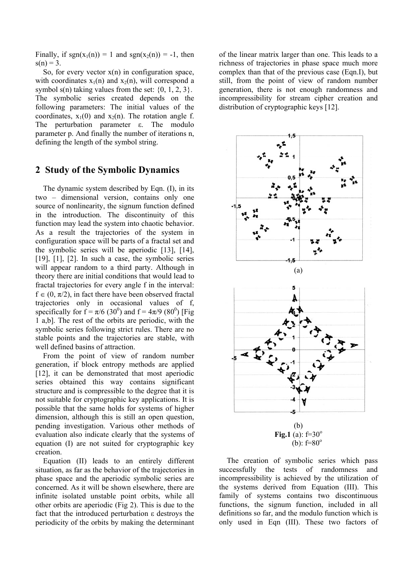Finally, if  $sgn(x_1(n)) = 1$  and  $sgn(x_2(n)) = -1$ , then  $s(n) = 3$ .

So, for every vector  $x(n)$  in configuration space, with coordinates  $x_1(n)$  and  $x_2(n)$ , will correspond a symbol s(n) taking values from the set:  $\{0, 1, 2, 3\}$ . The symbolic series created depends on the following parameters: The initial values of the coordinates,  $x_1(0)$  and  $x_2(n)$ . The rotation angle f. The perturbation parameter ε. The modulo parameter p. And finally the number of iterations n, defining the length of the symbol string.

#### **2 Study of the Symbolic Dynamics**

 The dynamic system described by Eqn. (I), in its two – dimensional version, contains only one source of nonlinearity, the signum function defined in the introduction. The discontinuity of this function may lead the system into chaotic behavior. As a result the trajectories of the system in configuration space will be parts of a fractal set and the symbolic series will be aperiodic [13], [14], [19], [1], [2]. In such a case, the symbolic series will appear random to a third party. Although in theory there are initial conditions that would lead to fractal trajectories for every angle f in the interval:  $f \in (0, \pi/2)$ , in fact there have been observed fractal trajectories only in occasional values of f, specifically for  $f = \pi/6$  (30<sup>0</sup>) and  $f = 4\pi/9$  (80<sup>0</sup>) [Fig 1 a,b]. The rest of the orbits are periodic, with the symbolic series following strict rules. There are no stable points and the trajectories are stable, with well defined basins of attraction.

 From the point of view of random number generation, if block entropy methods are applied [12], it can be demonstrated that most aperiodic series obtained this way contains significant structure and is compressible to the degree that it is not suitable for cryptographic key applications. It is possible that the same holds for systems of higher dimension, although this is still an open question, pending investigation. Various other methods of evaluation also indicate clearly that the systems of equation (I) are not suited for cryptographic key creation.

 Equation (II) leads to an entirely different situation, as far as the behavior of the trajectories in phase space and the aperiodic symbolic series are concerned. As it will be shown elsewhere, there are infinite isolated unstable point orbits, while all other orbits are aperiodic (Fig 2). This is due to the fact that the introduced perturbation ε destroys the periodicity of the orbits by making the determinant of the linear matrix larger than one. This leads to a richness of trajectories in phase space much more complex than that of the previous case (Eqn.I), but still, from the point of view of random number generation, there is not enough randomness and incompressibility for stream cipher creation and distribution of cryptographic keys [12].



 The creation of symbolic series which pass successfully the tests of randomness and incompressibility is achieved by the utilization of the systems derived from Equation (III). This family of systems contains two discontinuous functions, the signum function, included in all definitions so far, and the modulo function which is only used in Eqn (III). These two factors of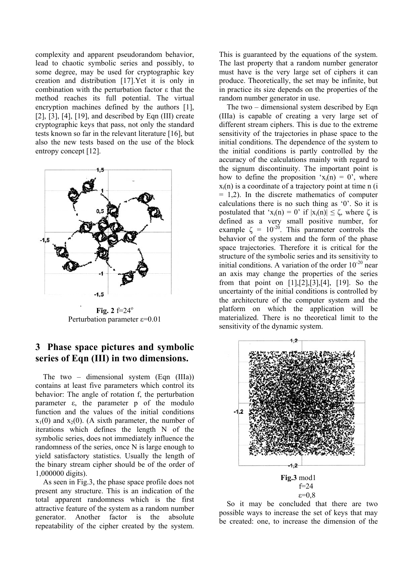complexity and apparent pseudorandom behavior, lead to chaotic symbolic series and possibly, to some degree, may be used for cryptographic key creation and distribution [17].Yet it is only in combination with the perturbation factor ε that the method reaches its full potential. The virtual encryption machines defined by the authors [1], [2], [3], [4], [19], and described by Eqn (III) create cryptographic keys that pass, not only the standard tests known so far in the relevant literature [16], but also the new tests based on the use of the block entropy concept [12].



**Fig. 2**  $f=24^\circ$ Perturbation parameter ε=0.01

### **3 Phase space pictures and symbolic series of Eqn (III) in two dimensions.**

 The two – dimensional system (Eqn (IIIa)) contains at least five parameters which control its behavior: The angle of rotation f, the perturbation parameter ε, the parameter p of the modulo function and the values of the initial conditions  $x_1(0)$  and  $x_2(0)$ . (A sixth parameter, the number of iterations which defines the length N of the symbolic series, does not immediately influence the randomness of the series, once N is large enough to yield satisfactory statistics. Usually the length of the binary stream cipher should be of the order of 1,000000 digits).

 As seen in Fig.3, the phase space profile does not present any structure. This is an indication of the total apparent randomness which is the first attractive feature of the system as a random number generator. Another factor is the absolute repeatability of the cipher created by the system. This is guaranteed by the equations of the system. The last property that a random number generator must have is the very large set of ciphers it can produce. Theoretically, the set may be infinite, but in practice its size depends on the properties of the random number generator in use.

 The two – dimensional system described by Eqn (IIIa) is capable of creating a very large set of different stream ciphers. This is due to the extreme sensitivity of the trajectories in phase space to the initial conditions. The dependence of the system to the initial conditions is partly controlled by the accuracy of the calculations mainly with regard to the signum discontinuity. The important point is how to define the proposition ' $x_i(n) = 0$ ', where  $x_i(n)$  is a coordinate of a trajectory point at time n (i)  $= 1.2$ ). In the discrete mathematics of computer calculations there is no such thing as '0'. So it is postulated that 'x<sub>i</sub>(n) = 0' if  $|x_i(n)| \le \zeta$ , where  $\zeta$  is defined as a very small positive number, for example  $\zeta = 10^{-20}$ . This parameter controls the behavior of the system and the form of the phase space trajectories. Therefore it is critical for the structure of the symbolic series and its sensitivity to initial conditions. A variation of the order  $10^{-20}$  near an axis may change the properties of the series from that point on [1],[2],[3],[4], [19]. So the uncertainty of the initial conditions is controlled by the architecture of the computer system and the platform on which the application will be materialized. There is no theoretical limit to the sensitivity of the dynamic system.



 So it may be concluded that there are two possible ways to increase the set of keys that may be created: one, to increase the dimension of the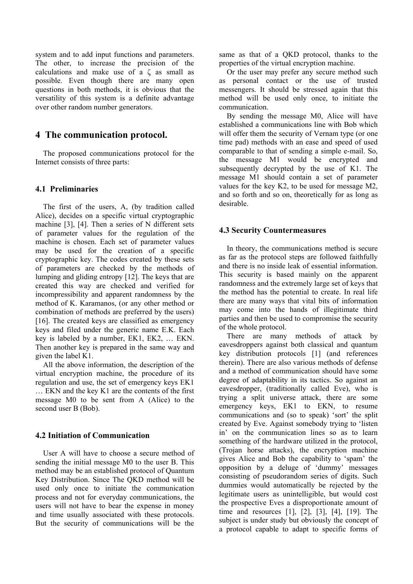system and to add input functions and parameters. The other, to increase the precision of the calculations and make use of a ζ as small as possible. Even though there are many open questions in both methods, it is obvious that the versatility of this system is a definite advantage over other random number generators.

#### **4 The communication protocol.**

 The proposed communications protocol for the Internet consists of three parts:

#### **4.1 Preliminaries**

 The first of the users, A, (by tradition called Alice), decides on a specific virtual cryptographic machine [3], [4]. Then a series of N different sets of parameter values for the regulation of the machine is chosen. Each set of parameter values may be used for the creation of a specific cryptographic key. The codes created by these sets of parameters are checked by the methods of lumping and gliding entropy [12]. The keys that are created this way are checked and verified for incompressibility and apparent randomness by the method of K. Karamanos, (or any other method or combination of methods are preferred by the users) [16]. The created keys are classified as emergency keys and filed under the generic name E.K. Each key is labeled by a number, EK1, EK2, … EKN. Then another key is prepared in the same way and given the label K1.

 All the above information, the description of the virtual encryption machine, the procedure of its regulation and use, the set of emergency keys EK1 … EKN and the key K1 are the contents of the first message M0 to be sent from A (Alice) to the second user B (Bob).

#### **4.2 Initiation of Communication**

 User A will have to choose a secure method of sending the initial message M0 to the user B. This method may be an established protocol of Quantum Key Distribution. Since The QKD method will be used only once to initiate the communication process and not for everyday communications, the users will not have to bear the expense in money and time usually associated with these protocols. But the security of communications will be the same as that of a QKD protocol, thanks to the properties of the virtual encryption machine.

 Or the user may prefer any secure method such as personal contact or the use of trusted messengers. It should be stressed again that this method will be used only once, to initiate the communication.

 By sending the message M0, Alice will have established a communications line with Bob which will offer them the security of Vernam type (or one time pad) methods with an ease and speed of used comparable to that of sending a simple e-mail. So, the message M1 would be encrypted and subsequently decrypted by the use of K1. The message M1 should contain a set of parameter values for the key K2, to be used for message M2, and so forth and so on, theoretically for as long as desirable.

#### **4.3 Security Countermeasures**

 In theory, the communications method is secure as far as the protocol steps are followed faithfully and there is no inside leak of essential information. This security is based mainly on the apparent randomness and the extremely large set of keys that the method has the potential to create. In real life there are many ways that vital bits of information may come into the hands of illegitimate third parties and then be used to compromise the security of the whole protocol.

 There are many methods of attack by eavesdroppers against both classical and quantum key distribution protocols [1] (and references therein). There are also various methods of defense and a method of communication should have some degree of adaptability in its tactics. So against an eavesdropper, (traditionally called Eve), who is trying a split universe attack, there are some emergency keys, EK1 to EKN, to resume communications and (so to speak) 'sort' the split created by Eve. Against somebody trying to 'listen in' on the communication lines so as to learn something of the hardware utilized in the protocol, (Trojan horse attacks), the encryption machine gives Alice and Bob the capability to 'spam' the opposition by a deluge of 'dummy' messages consisting of pseudorandom series of digits. Such dummies would automatically be rejected by the legitimate users as unintelligible, but would cost the prospective Eves a disproportionate amount of time and resources [1], [2], [3], [4], [19]. The subject is under study but obviously the concept of a protocol capable to adapt to specific forms of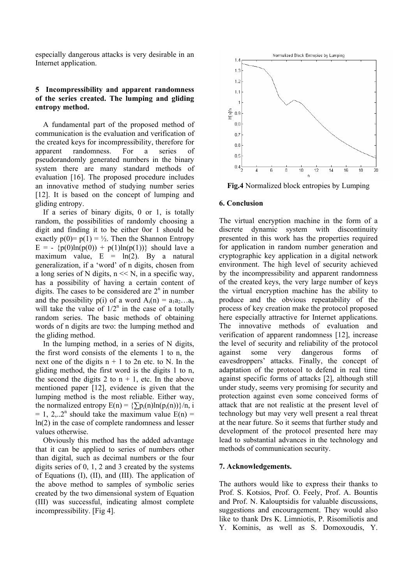especially dangerous attacks is very desirable in an Internet application.

#### **5 Incompressibility and apparent randomness of the series created. The lumping and gliding entropy method.**

 A fundamental part of the proposed method of communication is the evaluation and verification of the created keys for incompressibility, therefore for apparent randomness. For a series of pseudorandomly generated numbers in the binary system there are many standard methods of evaluation [16]. The proposed procedure includes an innovative method of studying number series [12]. It is based on the concept of lumping and gliding entropy.

 If a series of binary digits, 0 or 1, is totally random, the possibilities of randomly choosing a digit and finding it to be either 0or 1 should be exactly  $p(0) = p(1) = \frac{1}{2}$ . Then the Shannon Entropy  $E = -\{p(0) \ln(p(0)) + p(1) \ln(p(1))\}$  should lave a maximum value,  $E = ln(2)$ . By a natural generalization, if a 'word' of n digits, chosen from a long series of N digits,  $n \ll N$ , in a specific way, has a possibility of having a certain content of digits. The cases to be considered are  $2<sup>n</sup>$  in number and the possibility p(i) of a word  $A_i(n) = a_1a_2...a_n$ will take the value of  $1/2^n$  in the case of a totally random series. The basic methods of obtaining words of n digits are two: the lumping method and the gliding method.

 In the lumping method, in a series of N digits, the first word consists of the elements 1 to n, the next one of the digits  $n + 1$  to 2n etc. to N. In the gliding method, the first word is the digits 1 to n, the second the digits 2 to  $n + 1$ , etc. In the above mentioned paper [12], evidence is given that the lumping method is the most reliable. Either way, the normalized entropy  $E(n) = \{\sum p_i(n) \ln(p_i(n))\}/n$ , i  $= 1, 2, ... 2<sup>n</sup>$  should take the maximum value  $E(n) =$ ln(2) in the case of complete randomness and lesser values otherwise.

 Obviously this method has the added advantage that it can be applied to series of numbers other than digital, such as decimal numbers or the four digits series of 0, 1, 2 and 3 created by the systems of Equations (I), (II), and (III). The application of the above method to samples of symbolic series created by the two dimensional system of Equation (III) was successful, indicating almost complete incompressibility. [Fig 4].



**Fig.4** Normalized block entropies by Lumping

#### **6. Conclusion**

The virtual encryption machine in the form of a discrete dynamic system with discontinuity presented in this work has the properties required for application in random number generation and cryptographic key application in a digital network environment. The high level of security achieved by the incompressibility and apparent randomness of the created keys, the very large number of keys the virtual encryption machine has the ability to produce and the obvious repeatability of the process of key creation make the protocol proposed here especially attractive for Internet applications. The innovative methods of evaluation and verification of apparent randomness [12], increase the level of security and reliability of the protocol against some very dangerous forms of eavesdroppers' attacks. Finally, the concept of adaptation of the protocol to defend in real time against specific forms of attacks [2], although still under study, seems very promising for security and protection against even some conceived forms of attack that are not realistic at the present level of technology but may very well present a real threat at the near future. So it seems that further study and development of the protocol presented here may lead to substantial advances in the technology and methods of communication security.

#### **7. Acknowledgements.**

The authors would like to express their thanks to Prof. S. Kotsios, Prof. O. Feely, Prof. A. Bountis and Prof. N. Kalouptsidis for valuable discussions, suggestions and encouragement. They would also like to thank Drs K. Limniotis, P. Risomiliotis and Y. Kominis, as well as S. Domoxoudis, Y.